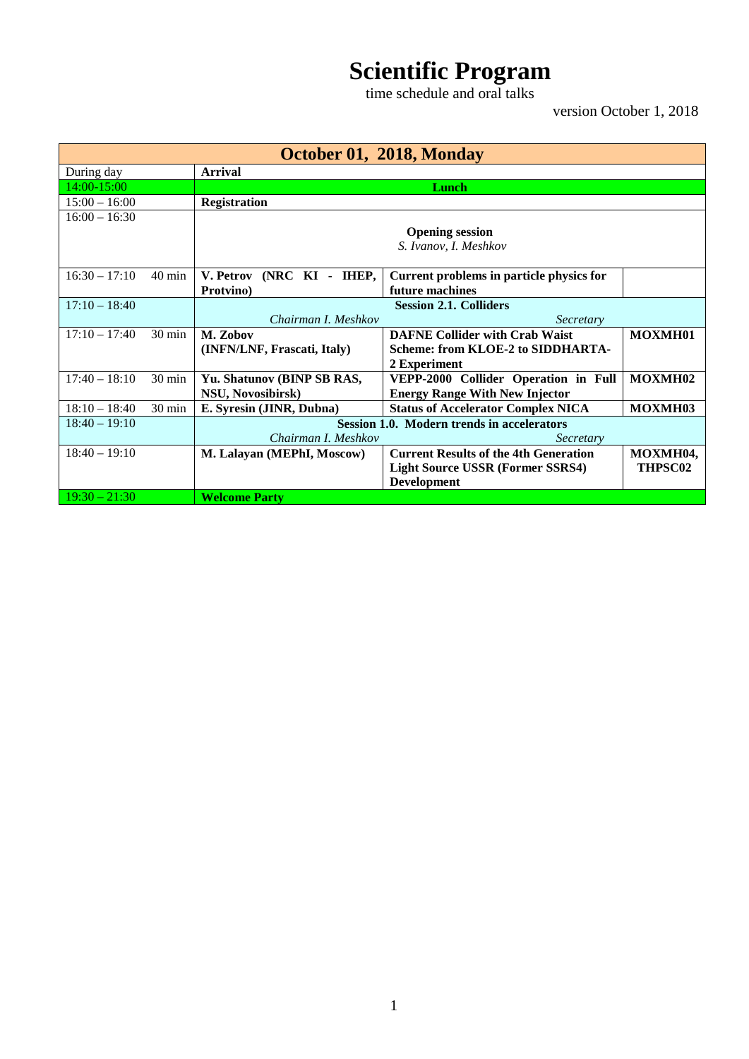## **Scientific Program**

time schedule and oral talks

version October 1, 2018

| October 01, 2018, Monday |                  |                                            |                                              |          |
|--------------------------|------------------|--------------------------------------------|----------------------------------------------|----------|
| During day               |                  | <b>Arrival</b>                             |                                              |          |
| 14:00-15:00              |                  | Lunch                                      |                                              |          |
| $15:00 - 16:00$          |                  | <b>Registration</b>                        |                                              |          |
| $16:00 - 16:30$          |                  |                                            |                                              |          |
|                          |                  | <b>Opening session</b>                     |                                              |          |
|                          |                  | S. Ivanov, I. Meshkov                      |                                              |          |
|                          |                  |                                            |                                              |          |
| $16:30 - 17:10$          | $40 \text{ min}$ | V. Petrov (NRC KI - IHEP,                  | Current problems in particle physics for     |          |
|                          |                  | Protvino)                                  | future machines                              |          |
| $17:10 - 18:40$          |                  |                                            | <b>Session 2.1. Colliders</b>                |          |
|                          |                  | Chairman I. Meshkov                        | Secretary                                    |          |
| $17:10 - 17:40$          | $30 \text{ min}$ | M. Zobov                                   | <b>DAFNE Collider with Crab Waist</b>        | MOXMH01  |
|                          |                  | (INFN/LNF, Frascati, Italy)                | Scheme: from KLOE-2 to SIDDHARTA-            |          |
|                          |                  |                                            | 2 Experiment                                 |          |
| $17:40 - 18:10$          | 30 min           | Yu. Shatunov (BINP SB RAS,                 | VEPP-2000 Collider Operation in Full         | MOXMH02  |
|                          |                  | NSU, Novosibirsk)                          | <b>Energy Range With New Injector</b>        |          |
| $18:10 - 18:40$          | 30 min           | E. Syresin (JINR, Dubna)                   | <b>Status of Accelerator Complex NICA</b>    | MOXMH03  |
| $18:40 - 19:10$          |                  | Session 1.0. Modern trends in accelerators |                                              |          |
|                          |                  | Chairman I. Meshkov                        | Secretary                                    |          |
| $18:40 - 19:10$          |                  | M. Lalayan (MEPhI, Moscow)                 | <b>Current Results of the 4th Generation</b> | MOXMH04, |
|                          |                  |                                            | <b>Light Source USSR (Former SSRS4)</b>      | THPSC02  |
|                          |                  |                                            | <b>Development</b>                           |          |
| $19:30 - 21:30$          |                  | <b>Welcome Party</b>                       |                                              |          |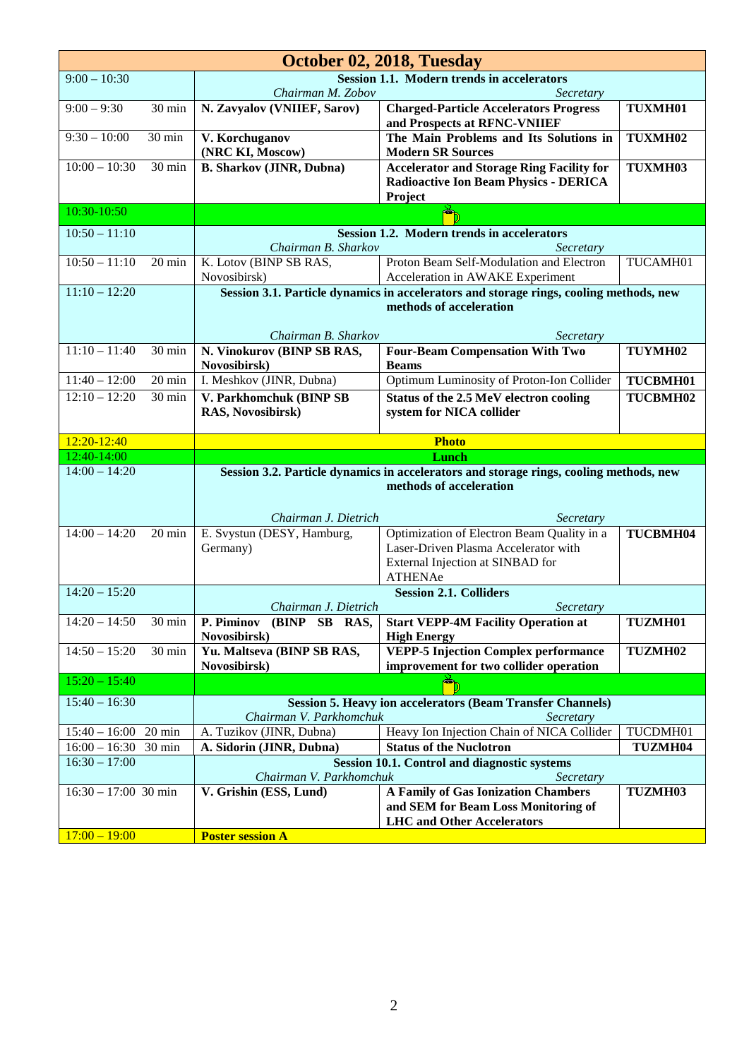| October 02, 2018, Tuesday |                  |                                                   |                                                                                        |          |  |
|---------------------------|------------------|---------------------------------------------------|----------------------------------------------------------------------------------------|----------|--|
| $9:00 - 10:30$            |                  | <b>Session 1.1. Modern trends in accelerators</b> |                                                                                        |          |  |
| $9:00 - 9:30$             |                  | Chairman M. Zobov                                 | Secretary                                                                              |          |  |
|                           | 30 min           | N. Zavyalov (VNIIEF, Sarov)                       | <b>Charged-Particle Accelerators Progress</b><br>and Prospects at RFNC-VNIIEF          | TUXMH01  |  |
| $9:30 - 10:00$            | 30 min           | V. Korchuganov                                    | The Main Problems and Its Solutions in                                                 | TUXMH02  |  |
|                           |                  | (NRC KI, Moscow)                                  | <b>Modern SR Sources</b>                                                               |          |  |
| $10:00 - 10:30$           | 30 min           | <b>B. Sharkov (JINR, Dubna)</b>                   | <b>Accelerator and Storage Ring Facility for</b>                                       | TUXMH03  |  |
|                           |                  |                                                   | <b>Radioactive Ion Beam Physics - DERICA</b>                                           |          |  |
| 10:30-10:50               |                  |                                                   | Project                                                                                |          |  |
|                           |                  |                                                   |                                                                                        |          |  |
| $10:50 - 11:10$           |                  | Chairman B. Sharkov                               | Session 1.2. Modern trends in accelerators<br>Secretary                                |          |  |
| $10:50 - 11:10$           | $20 \text{ min}$ | K. Lotov (BINP SB RAS,                            | Proton Beam Self-Modulation and Electron                                               | TUCAMH01 |  |
|                           |                  | Novosibirsk)                                      | Acceleration in AWAKE Experiment                                                       |          |  |
| $11:10 - 12:20$           |                  |                                                   | Session 3.1. Particle dynamics in accelerators and storage rings, cooling methods, new |          |  |
|                           |                  |                                                   | methods of acceleration                                                                |          |  |
|                           |                  | Chairman B. Sharkov                               | Secretary                                                                              |          |  |
| $11:10 - 11:40$           | 30 min           | N. Vinokurov (BINP SB RAS,                        | <b>Four-Beam Compensation With Two</b>                                                 | TUYMH02  |  |
|                           |                  | Novosibirsk)                                      | <b>Beams</b>                                                                           |          |  |
| $11:40 - 12:00$           | $20 \text{ min}$ | I. Meshkov (JINR, Dubna)                          | Optimum Luminosity of Proton-Ion Collider                                              | TUCBMH01 |  |
| $12:10 - 12:20$           | 30 min           | V. Parkhomchuk (BINP SB                           | Status of the 2.5 MeV electron cooling                                                 | TUCBMH02 |  |
|                           |                  | RAS, Novosibirsk)                                 | system for NICA collider                                                               |          |  |
| 12:20-12:40               |                  |                                                   | <b>Photo</b>                                                                           |          |  |
|                           |                  |                                                   |                                                                                        |          |  |
| 12:40-14:00               |                  |                                                   | Lunch                                                                                  |          |  |
| $14:00 - 14:20$           |                  |                                                   | Session 3.2. Particle dynamics in accelerators and storage rings, cooling methods, new |          |  |
|                           |                  |                                                   | methods of acceleration                                                                |          |  |
|                           |                  |                                                   |                                                                                        |          |  |
| $14:00 - 14:20$           | $20 \text{ min}$ | Chairman J. Dietrich                              | Secretary<br>Optimization of Electron Beam Quality in a                                | TUCBMH04 |  |
|                           |                  | E. Svystun (DESY, Hamburg,<br>Germany)            | Laser-Driven Plasma Accelerator with                                                   |          |  |
|                           |                  |                                                   | External Injection at SINBAD for                                                       |          |  |
|                           |                  |                                                   | <b>ATHENAe</b>                                                                         |          |  |
| $14:20 - 15:20$           |                  | Chairman J. Dietrich                              | <b>Session 2.1. Colliders</b><br>Secretary                                             |          |  |
| $14:20 - 14:50$           | 30 min           | P. Piminov (BINP SB RAS,                          | <b>Start VEPP-4M Facility Operation at</b>                                             | TUZMH01  |  |
|                           |                  | Novosibirsk)                                      | <b>High Energy</b>                                                                     |          |  |
| $14:50 - 15:20$           | 30 min           | Yu. Maltseva (BINP SB RAS,<br>Novosibirsk)        | <b>VEPP-5 Injection Complex performance</b><br>improvement for two collider operation  | TUZMH02  |  |
| $15:20 - 15:40$           |                  |                                                   |                                                                                        |          |  |
| $15:40 - 16:30$           |                  |                                                   | <b>Session 5. Heavy ion accelerators (Beam Transfer Channels)</b>                      |          |  |
|                           |                  | Chairman V. Parkhomchuk                           | Secretary                                                                              |          |  |
| $15:40 - 16:00$           | $20 \text{ min}$ | A. Tuzikov (JINR, Dubna)                          | Heavy Ion Injection Chain of NICA Collider                                             | TUCDMH01 |  |
| $16:00 - 16:30$           | $30 \text{ min}$ | A. Sidorin (JINR, Dubna)                          | <b>Status of the Nuclotron</b>                                                         | TUZMH04  |  |
| $16:30 - 17:00$           |                  | Chairman V. Parkhomchuk                           | <b>Session 10.1. Control and diagnostic systems</b><br>Secretary                       |          |  |
| $16:30 - 17:00$ 30 min    |                  | V. Grishin (ESS, Lund)                            | A Family of Gas Ionization Chambers                                                    | TUZMH03  |  |
|                           |                  |                                                   | and SEM for Beam Loss Monitoring of                                                    |          |  |
| $17:00 - 19:00$           |                  | <b>Poster session A</b>                           | <b>LHC</b> and Other Accelerators                                                      |          |  |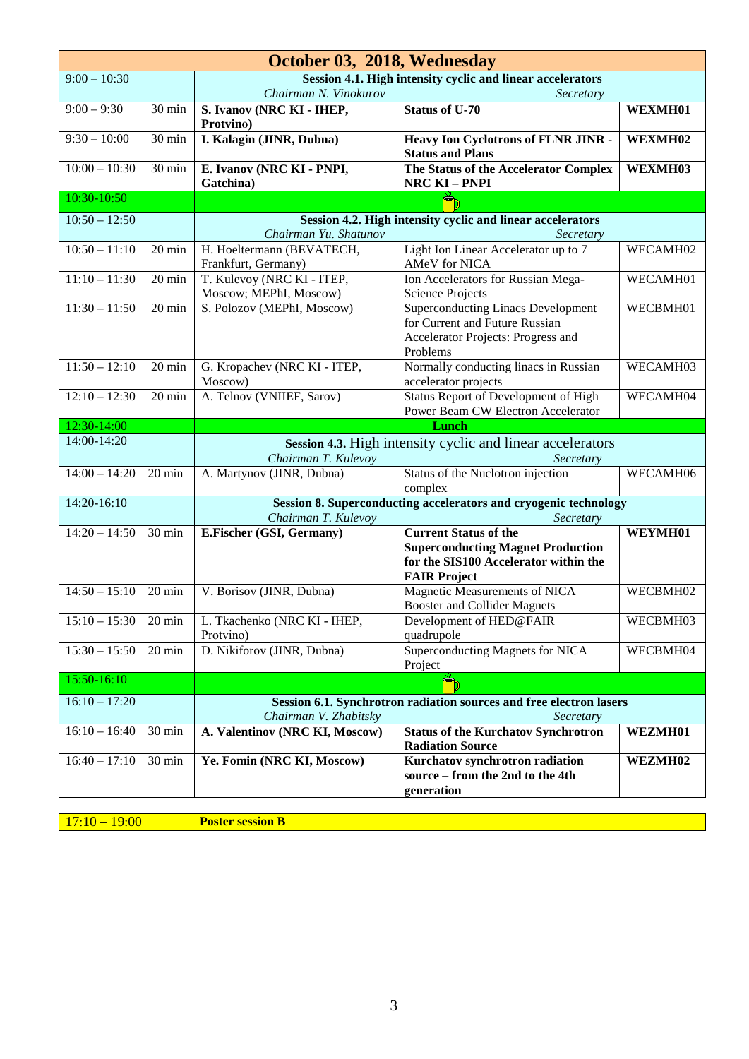| October 03, 2018, Wednesday                                                  |                  |                                        |                                                                       |          |
|------------------------------------------------------------------------------|------------------|----------------------------------------|-----------------------------------------------------------------------|----------|
| $9:00 - 10:30$<br>Session 4.1. High intensity cyclic and linear accelerators |                  |                                        |                                                                       |          |
|                                                                              |                  | Chairman N. Vinokurov                  | Secretary                                                             |          |
| $9:00 - 9:30$                                                                | 30 min           | S. Ivanov (NRC KI - IHEP,<br>Protvino) | <b>Status of U-70</b>                                                 | WEXMH01  |
| $9:30 - 10:00$                                                               | 30 min           | I. Kalagin (JINR, Dubna)               | Heavy Ion Cyclotrons of FLNR JINR -<br><b>Status and Plans</b>        | WEXMH02  |
| $10:00 - 10:30$                                                              | 30 min           | E. Ivanov (NRC KI - PNPI,              | The Status of the Accelerator Complex                                 | WEXMH03  |
|                                                                              |                  | Gatchina)                              | <b>NRC KI-PNPI</b>                                                    |          |
| 10:30-10:50                                                                  |                  |                                        |                                                                       |          |
| $10:50 - 12:50$                                                              |                  |                                        | Session 4.2. High intensity cyclic and linear accelerators            |          |
|                                                                              |                  | Chairman Yu. Shatunov                  | Secretary                                                             |          |
| $10:50 - 11:10$                                                              | $20 \text{ min}$ | H. Hoeltermann (BEVATECH,              | Light Ion Linear Accelerator up to 7                                  | WECAMH02 |
|                                                                              |                  | Frankfurt, Germany)                    | AMeV for NICA                                                         |          |
| $11:10 - 11:30$                                                              | $20 \text{ min}$ | T. Kulevoy (NRC KI - ITEP,             | Ion Accelerators for Russian Mega-                                    | WECAMH01 |
|                                                                              |                  | Moscow; MEPhI, Moscow)                 | <b>Science Projects</b>                                               |          |
| $11:30 - 11:50$                                                              | $20 \text{ min}$ | S. Polozov (MEPhI, Moscow)             | <b>Superconducting Linacs Development</b>                             | WECBMH01 |
|                                                                              |                  |                                        | for Current and Future Russian                                        |          |
|                                                                              |                  |                                        | Accelerator Projects: Progress and<br>Problems                        |          |
| $11:50 - 12:10$                                                              | 20 min           | G. Kropachev (NRC KI - ITEP,           | Normally conducting linacs in Russian                                 | WECAMH03 |
|                                                                              |                  | Moscow)                                | accelerator projects                                                  |          |
| $12:10 - 12:30$                                                              | 20 min           | A. Telnov (VNIIEF, Sarov)              | <b>Status Report of Development of High</b>                           | WECAMH04 |
|                                                                              |                  |                                        | Power Beam CW Electron Accelerator                                    |          |
| 12:30-14:00                                                                  |                  |                                        | Lunch                                                                 |          |
| 14:00-14:20                                                                  |                  |                                        | Session 4.3. High intensity cyclic and linear accelerators            |          |
|                                                                              |                  | Chairman T. Kulevoy                    | Secretary                                                             |          |
| $14:00 - 14:20$                                                              | $20 \text{ min}$ | A. Martynov (JINR, Dubna)              | Status of the Nuclotron injection                                     | WECAMH06 |
|                                                                              |                  |                                        | complex                                                               |          |
| 14:20-16:10                                                                  |                  |                                        | Session 8. Superconducting accelerators and cryogenic technology      |          |
|                                                                              |                  | Chairman T. Kulevoy                    | Secretary                                                             |          |
| $14:20 - 14:50$                                                              | 30 min           | E.Fischer (GSI, Germany)               | <b>Current Status of the</b>                                          | WEYMH01  |
|                                                                              |                  |                                        | <b>Superconducting Magnet Production</b>                              |          |
|                                                                              |                  |                                        | for the SIS100 Accelerator within the                                 |          |
|                                                                              |                  |                                        | <b>FAIR Project</b>                                                   |          |
| $14:50 - 15:10$                                                              | 20 min           | V. Borisov (JINR, Dubna)               | Magnetic Measurements of NICA<br><b>Booster and Collider Magnets</b>  | WECBMH02 |
| $15:10 - 15:30$                                                              | 20 min           | L. Tkachenko (NRC KI - IHEP,           | Development of HED@FAIR                                               | WECBMH03 |
|                                                                              |                  | Protvino)                              | quadrupole                                                            |          |
| $15:30 - 15:50$                                                              | 20 min           | D. Nikiforov (JINR, Dubna)             | Superconducting Magnets for NICA                                      | WECBMH04 |
|                                                                              |                  |                                        | Project                                                               |          |
| 15:50-16:10                                                                  |                  |                                        | Ď                                                                     |          |
| $16:10 - 17:20$                                                              |                  |                                        | Session 6.1. Synchrotron radiation sources and free electron lasers   |          |
|                                                                              |                  | Chairman V. Zhabitsky<br>Secretary     |                                                                       |          |
| $16:10 - 16:40$                                                              | 30 min           | A. Valentinov (NRC KI, Moscow)         | <b>Status of the Kurchatov Synchrotron</b><br><b>Radiation Source</b> | WEZMH01  |
| $16:40 - 17:10$                                                              | 30 min           | Ye. Fomin (NRC KI, Moscow)             | Kurchatov synchrotron radiation                                       | WEZMH02  |
|                                                                              |                  |                                        | source – from the 2nd to the 4th                                      |          |
|                                                                              |                  |                                        |                                                                       |          |
|                                                                              |                  |                                        | generation                                                            |          |

17:10 – 19:00 **Poster session B**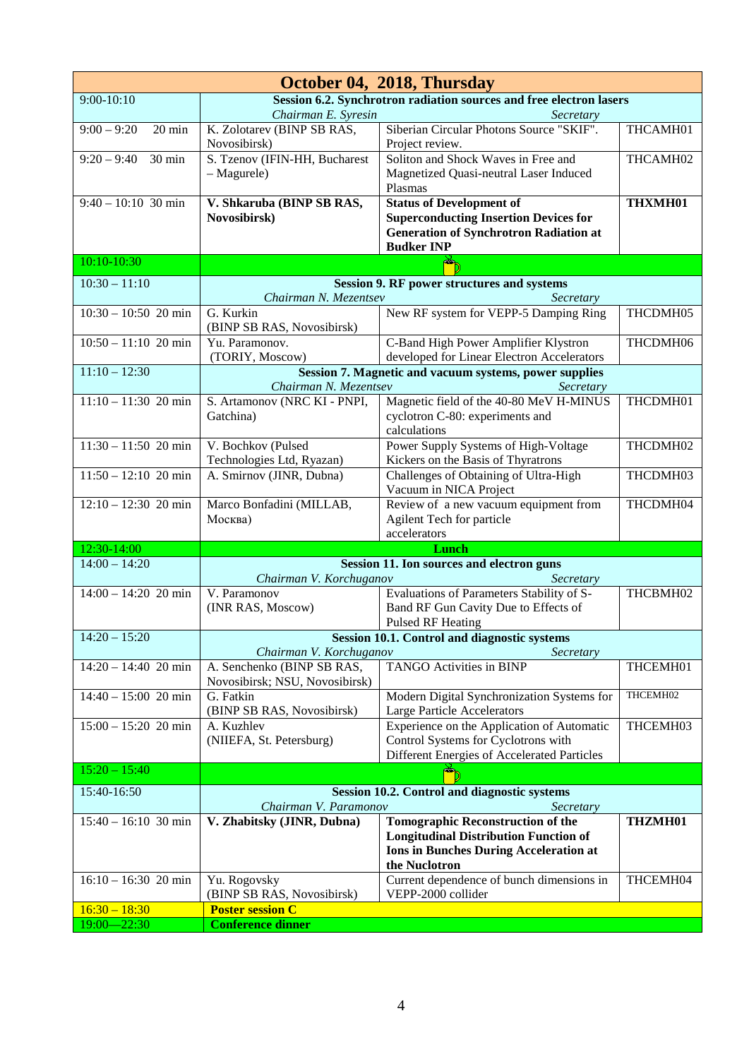| October 04, 2018, Thursday         |                                                                     |                                                                                               |          |
|------------------------------------|---------------------------------------------------------------------|-----------------------------------------------------------------------------------------------|----------|
| $9:00 - 10:10$                     | Session 6.2. Synchrotron radiation sources and free electron lasers |                                                                                               |          |
|                                    | Chairman E. Syresin                                                 | Secretary                                                                                     |          |
| $9:00 - 9:20$<br>$20 \text{ min}$  | K. Zolotarev (BINP SB RAS,<br>Novosibirsk)                          | Siberian Circular Photons Source "SKIF".<br>Project review.                                   | THCAMH01 |
| $9:20 - 9:40$<br>30 min            | S. Tzenov (IFIN-HH, Bucharest                                       | Soliton and Shock Waves in Free and                                                           | THCAMH02 |
|                                    | $-$ Magurele)                                                       | Magnetized Quasi-neutral Laser Induced                                                        |          |
|                                    |                                                                     | Plasmas                                                                                       |          |
| $9:40 - 10:10$ 30 min              | V. Shkaruba (BINP SB RAS,                                           | <b>Status of Development of</b>                                                               | THXMH01  |
|                                    | Novosibirsk)                                                        | <b>Superconducting Insertion Devices for</b><br><b>Generation of Synchrotron Radiation at</b> |          |
|                                    |                                                                     | <b>Budker INP</b>                                                                             |          |
| 10:10-10:30                        |                                                                     |                                                                                               |          |
| $10:30 - 11:10$                    |                                                                     | <b>Session 9. RF power structures and systems</b>                                             |          |
|                                    | Chairman N. Mezentsev                                               | Secretary                                                                                     |          |
| $10:30 - 10:50$ 20 min             | G. Kurkin<br>(BINP SB RAS, Novosibirsk)                             | New RF system for VEPP-5 Damping Ring                                                         | THCDMH05 |
| $10:50 - 11:10$ 20 min             | Yu. Paramonov.                                                      | C-Band High Power Amplifier Klystron                                                          | THCDMH06 |
|                                    | (TORIY, Moscow)                                                     | developed for Linear Electron Accelerators                                                    |          |
| $11:10 - 12:30$                    | Chairman N. Mezentsev                                               | Session 7. Magnetic and vacuum systems, power supplies<br>Secretary                           |          |
| $11:10 - 11:30$ 20 min             | S. Artamonov (NRC KI - PNPI,                                        | Magnetic field of the 40-80 MeV H-MINUS                                                       | THCDMH01 |
|                                    | Gatchina)                                                           | cyclotron C-80: experiments and                                                               |          |
|                                    |                                                                     | calculations                                                                                  |          |
| $\overline{11:30} - 11:50$ 20 min  | V. Bochkov (Pulsed                                                  | Power Supply Systems of High-Voltage                                                          | THCDMH02 |
| $11:50 - 12:10$ 20 min             | Technologies Ltd, Ryazan)<br>A. Smirnov (JINR, Dubna)               | Kickers on the Basis of Thyratrons<br>Challenges of Obtaining of Ultra-High                   | THCDMH03 |
|                                    |                                                                     | Vacuum in NICA Project                                                                        |          |
| $12:10 - 12:30$ 20 min             | Marco Bonfadini (MILLAB,                                            | Review of a new vacuum equipment from                                                         | THCDMH04 |
|                                    | Москва)                                                             | Agilent Tech for particle<br>accelerators                                                     |          |
| 12:30-14:00                        |                                                                     | Lunch                                                                                         |          |
| $14:00 - 14:20$                    |                                                                     | Session 11. Ion sources and electron guns                                                     |          |
| $14:00 - 14:20$ 20 min             | Chairman V. Korchuganov<br>V. Paramonov                             | Secretary                                                                                     | THCBMH02 |
|                                    |                                                                     | Evaluations of Parameters Stability of S-                                                     |          |
|                                    |                                                                     |                                                                                               |          |
|                                    | (INR RAS, Moscow)                                                   | Band RF Gun Cavity Due to Effects of                                                          |          |
| $14:20 - 15:20$                    |                                                                     | Pulsed RF Heating<br><b>Session 10.1. Control and diagnostic systems</b>                      |          |
|                                    | Chairman V. Korchuganov                                             | Secretary                                                                                     |          |
| $14:20 - 14:40$ 20 min             | A. Senchenko (BINP SB RAS,<br>Novosibirsk; NSU, Novosibirsk)        | <b>TANGO Activities in BINP</b>                                                               | THCEMH01 |
| $14:40 - 15:00$ 20 min             | G. Fatkin                                                           | Modern Digital Synchronization Systems for                                                    | THCEMH02 |
|                                    | (BINP SB RAS, Novosibirsk)                                          | Large Particle Accelerators                                                                   |          |
| $15:00 - 15:20$ 20 min             | A. Kuzhlev<br>(NIIEFA, St. Petersburg)                              | Experience on the Application of Automatic<br>Control Systems for Cyclotrons with             | THCEMH03 |
|                                    |                                                                     | Different Energies of Accelerated Particles                                                   |          |
| $15:20 - 15:40$                    |                                                                     | œ                                                                                             |          |
| 15:40-16:50                        |                                                                     | <b>Session 10.2. Control and diagnostic systems</b>                                           |          |
|                                    | Chairman V. Paramonov                                               | Secretary                                                                                     |          |
| $15:40 - 16:10$ 30 min             | V. Zhabitsky (JINR, Dubna)                                          | <b>Tomographic Reconstruction of the</b>                                                      | THZMH01  |
|                                    |                                                                     | <b>Longitudinal Distribution Function of</b>                                                  |          |
|                                    |                                                                     | <b>Ions in Bunches During Acceleration at</b><br>the Nuclotron                                |          |
| $16:10 - 16:30$ 20 min             | Yu. Rogovsky                                                        | Current dependence of bunch dimensions in                                                     | THCEMH04 |
|                                    | (BINP SB RAS, Novosibirsk)                                          | VEPP-2000 collider                                                                            |          |
| $16:30 - 18:30$<br>$19:00 - 22:30$ | <b>Poster session C</b><br><b>Conference dinner</b>                 |                                                                                               |          |